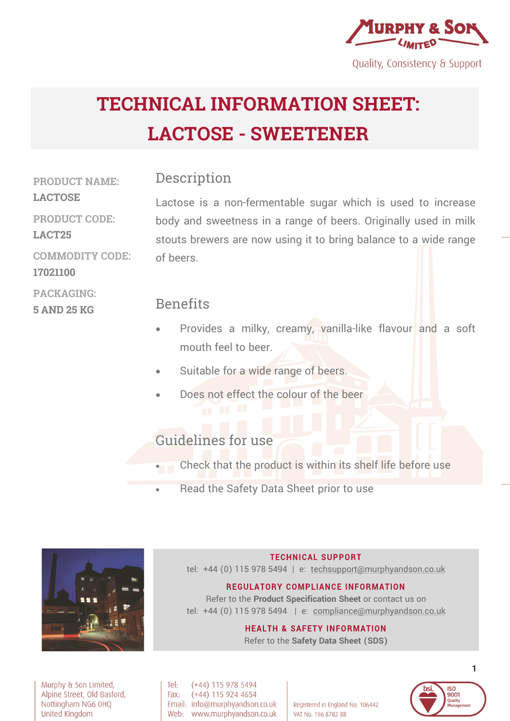

Quality, Consistency & Support

# **TECHNICAL INFORMATION SHEET: LACTOSE - SWEETENER**

Description

## **LACTOSE**

**PRODUCT CODE: LACT25**

**PRODUCT NAME:** 

**COMMODITY CODE: 17021100**

**PACKAGING: 5 AND 25 KG** 

Lactose is a non-fermentable sugar which is used to increase body and sweetness in a range of beers. Originally used in milk stouts brewers are now using it to bring balance to a wide range of beers.

#### Benefits

- Provides a milky, creamy, vanilla-like flavour and a soft mouth feel to beer.
- Suitable for a wide range of beers.
- Does not effect the colour of the beer

## Guidelines for use

- Check that the product is within its shelf life before use
- Read the Safety Data Sheet prior to use



**TECHNICAL SUPPORT** tel: +44 (0) 115 978 5494 | e: techsupport@murphyandson.co.uk

#### **REGULATORY COMPLIANCE INFORMATION** Refer to the **Product Specification Sheet** or contact us on tel: +44 (0) 115 978 5494 | e: compliance@murphyandson.co.uk

#### **HEALTH & SAFETY INFORMATION**

Refer to the **Safety Data Sheet (SDS)**

Murphy & Son Limited, Alpine Street, Old Basford, Nottingham NG6 0HQ United Kingdom

Tel:  $(+44)$  115 978 5494  $(+44)$  115 924 4654 Fax: Email: info@murphyandson.co.uk Web: www.murphyandson.co.uk

Registered in England No. 106442 VAT No. 196 8782 88